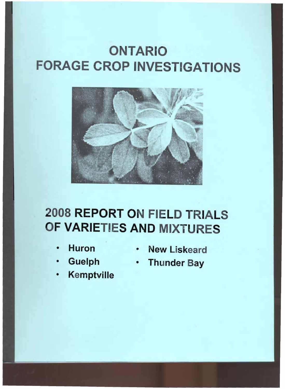# **ONTARIO FORAGE CROP INVESTIGATIONS**



# 2008 REPORT ON FIELD TRIALS F VARIETIES AND MIXTURES

- 
- 
- **Kemptville**
- Huron New Liskeard
- Guelph Thunder Bay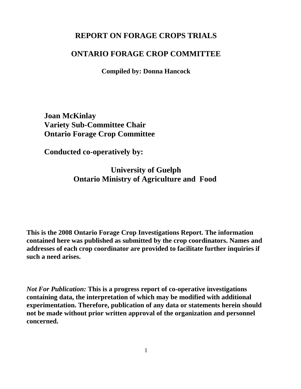# **REPORT ON FORAGE CROPS TRIALS**

# **ONTARIO FORAGE CROP COMMITTEE**

**Compiled by: Donna Hancock**

**Joan McKinlay Variety Sub-Committee Chair Ontario Forage Crop Committee**

**Conducted co-operatively by:**

**University of Guelph Ontario Ministry of Agriculture and Food** 

**This is the 2008 Ontario Forage Crop Investigations Report. The information contained here was published as submitted by the crop coordinators. Names and addresses of each crop coordinator are provided to facilitate further inquiries if such a need arises.**

*Not For Publication:* **This is a progress report of co-operative investigations containing data, the interpretation of which may be modified with additional experimentation. Therefore, publication of any data or statements herein should not be made without prior written approval of the organization and personnel concerned.**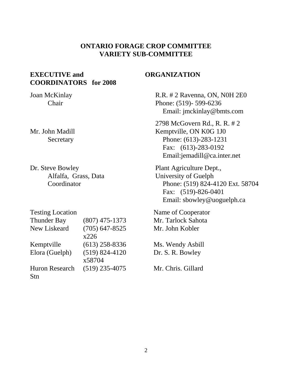# **ONTARIO FORAGE CROP COMMITTEE VARIETY SUB-COMMITTEE**

## **EXECUTIVE and COORDINATORS for 2008**

Joan McKinlay Chair

Mr. John Madill Secretary

Dr. Steve Bowley Alfalfa, Grass, Data Coordinator

| <b>Testing Location</b> |                    |
|-------------------------|--------------------|
| <b>Thunder Bay</b>      | $(807)$ 475-1373   |
| New Liskeard            | $(705)$ 647-8525   |
|                         | x226               |
| Kemptville              | $(613)$ 258-8336   |
| Elora (Guelph)          | $(519) 824 - 4120$ |
|                         | x58704             |
| <b>Huron Research</b>   | $(519)$ 235-4075   |
| Stn                     |                    |

### **ORGANIZATION**

 R.R. # 2 Ravenna, ON, N0H 2E0 Phone: (519)- 599-6236 Email: jmckinlay@bmts.com

 2798 McGovern Rd., R. R. # 2 Kemptville, ON K0G 1J0 Phone: (613)-283-1231 Fax: (613)-283-0192 Email:jemadill@ca.inter.net

 Plant Agriculture Dept., University of Guelph Phone: (519) 824-4120 Ext. 58704 Fax: (519)-826-0401 Email: sbowley@uoguelph.ca

 Name of Cooperator Mr. Tarlock Sahota Mr. John Kobler

 Ms. Wendy Asbill Dr. S. R. Bowley

Mr. Chris. Gillard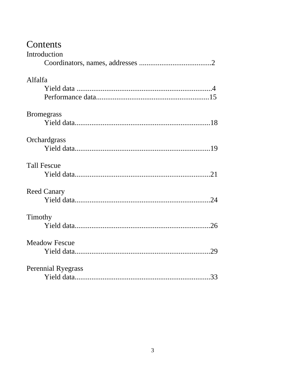# Contents

| Introduction              |  |
|---------------------------|--|
|                           |  |
| Alfalfa                   |  |
|                           |  |
|                           |  |
| <b>Bromegrass</b>         |  |
|                           |  |
| Orchardgrass              |  |
|                           |  |
| <b>Tall Fescue</b>        |  |
|                           |  |
| <b>Reed Canary</b>        |  |
|                           |  |
| Timothy                   |  |
|                           |  |
| <b>Meadow Fescue</b>      |  |
|                           |  |
| <b>Perennial Ryegrass</b> |  |
|                           |  |
|                           |  |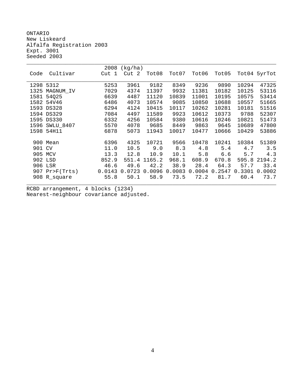ONTARIO New Liskeard Alfalfa Registration 2003 Expt. 3001 Seeded 2003

|      |                  | 2008   | (kg/ha) |        |        |        |        |        |              |
|------|------------------|--------|---------|--------|--------|--------|--------|--------|--------------|
| Code | Cultivar         | Cut 1  | Cut 2   | Tot08  | Tot07  | Tot06  | Tot05  |        | Tot04 5yrTot |
|      |                  |        |         |        |        |        |        |        |              |
| 1298 | 5312             | 5253   | 3961    | 9182   | 8349   | 9236   | 9890   | 10294  | 47325        |
| 1325 | MAGNUM IV        | 7029   | 4374    | 11397  | 9932   | 11381  | 10182  | 10125  | 53116        |
| 1581 | 54025            | 6639   | 4487    | 11120  | 10839  | 11001  | 10195  | 10575  | 53414        |
| 1582 | 54V46            | 6486   | 4073    | 10574  | 9085   | 10850  | 10688  | 10557  | 51665        |
| 1593 | <b>DS328</b>     | 6294   | 4124    | 10415  | 10117  | 10262  | 10281  | 10181  | 51516        |
|      | 1594 DS329       | 7084   | 4497    | 11589  | 9923   | 10612  | 10373  | 9788   | 52307        |
|      | 1595 DS330       | 6332   | 4256    | 10584  | 9380   | 10616  | 10246  | 10821  | 51473        |
| 1596 | <b>SWLU 8407</b> | 5570   | 4078    | 9685   | 8449   | 9863   | 9645   | 10689  | 47800        |
| 1598 | 54H11            | 6878   | 5073    | 11943  | 10017  | 10477  | 10666  | 10429  | 53886        |
|      |                  |        |         |        |        |        |        |        |              |
|      | 900 Mean         | 6396   | 4325    | 10721  | 9566   | 10478  | 10241  | 10384  | 51389        |
| 901  | <b>CV</b>        | 11.0   | 10.5    | 9.0    | 8.3    | 4.8    | 5.4    | 4.7    | 3.5          |
| 905  | MCV              | 13.3   | 12.8    | 10.9   | 10.1   | 5.8    | 6.6    | 5.7    | 4.3          |
|      | 902 LSD          | 852.9  | 551.4   | 1165.2 | 968.1  | 608.9  | 670.8  | 595.8  | 2194.2       |
|      | 906 LSR          | 46.6   | 49.6    | 42.2   | 38.9   | 28.4   | 64.3   | 57.7   | 33.4         |
|      | 907 $Pr>F(Trts)$ | 0.0143 | 0.0723  | 0.0096 | 0.0083 | 0.0004 | 0.2547 | 0.3301 | 0.0002       |
|      | 908 R_square     | 55.8   | 50.1    | 58.9   | 73.5   | 72.2   | 81.7   | 60.4   | 73.7         |
|      |                  |        |         |        |        |        |        |        |              |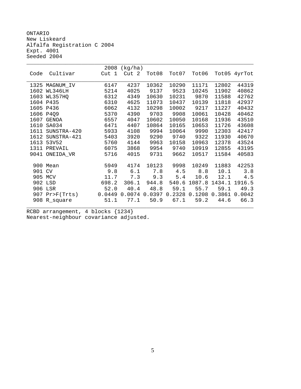ONTARIO New Liskeard Alfalfa Registration C 2004 Expt. 4001 Seeded 2004

|      |                  | 2008   | (kg/ha) |        |        |        |        |              |
|------|------------------|--------|---------|--------|--------|--------|--------|--------------|
| Code | Cultivar         | Cut 1  | Cut 2   | Tot08  | Tot07  | Tot06  |        | Tot05 4yrTot |
|      |                  |        |         |        |        |        |        |              |
| 1325 | MAGNUM_IV        | 6147   | 4237    | 10362  | 10290  | 11171  | 12802  | 44319        |
| 1602 | WL346LH          | 5214   | 4025    | 9137   | 9523   | 10245  | 11902  | 40862        |
| 1603 | WL357HQ          | 6312   | 4349    | 10630  | 10231  | 9870   | 11588  | 42762        |
|      | 1604 P435        | 6310   | 4625    | 11073  | 10437  | 10139  | 11818  | 42937        |
|      | 1605 P436        | 6062   | 4132    | 10298  | 10002  | 9217   | 11227  | 40432        |
|      | 1606 P4Q9        | 5370   | 4390    | 9703   | 9908   | 10061  | 10428  | 40462        |
| 1607 | <b>GENOA</b>     | 6557   | 4047    | 10602  | 10050  | 10168  | 11936  | 43510        |
| 1610 | SA034            | 6471   | 4407    | 10864  | 10165  | 10653  | 11726  | 43608        |
| 1611 | SUNSTRA-420      | 5933   | 4108    | 9994   | 10064  | 9990   | 12303  | 42417        |
|      | 1612 SUNSTRA-421 | 5403   | 3920    | 9290   | 9740   | 9322   | 11930  | 40670        |
|      | 1613 53V52       | 5760   | 4144    | 9963   | 10158  | 10963  | 12378  | 43524        |
| 1311 | PREVAIL          | 6075   | 3868    | 9954   | 9740   | 10919  | 12855  | 43195        |
| 9041 | ONEIDA_VR        | 5716   | 4015    | 9731   | 9662   | 10517  | 11584  | 40583        |
|      |                  |        |         |        |        |        |        |              |
|      | 900 Mean         | 5949   | 4174    | 10123  | 9998   | 10249  | 11883  | 42253        |
| 901  | <b>CV</b>        | 9.8    | $6.1$   | 7.8    | 4.5    | 8.8    | 10.1   | 3.8          |
|      | 905 MCV          | 11.7   | 7.3     | 9.3    | 5.4    | 10.6   | 12.1   | 4.5          |
|      | 902 LSD          | 698.2  | 306.1   | 944.8  | 540.6  | 1087.8 | 1434.1 | 1916.5       |
|      | 906 LSR          | 52.0   | 40.4    | 48.8   | 59.1   | 55.7   | 59.1   | 49.3         |
| 907  | $Pr$ $F(Trts)$   | 0.0449 | 0.0074  | 0.0397 | 0.2328 | 0.1208 | 0.3861 | 0.0042       |
| 908  | R_square         | 51.1   | 77.1    | 50.9   | 67.1   | 59.2   | 44.6   | 66.3         |
|      |                  |        |         |        |        |        |        |              |
|      |                  |        |         |        |        |        |        |              |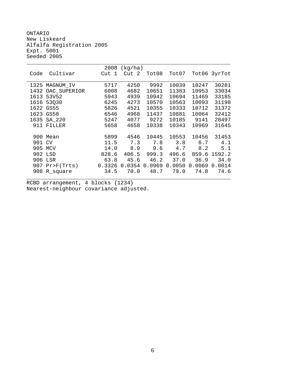ONTARIO New Liskeard Alfalfa Registration 2005 Expt. 5001 Seeded 2005

|        |                   | 2008   | (kg/ha)          |        |        |        |              |
|--------|-------------------|--------|------------------|--------|--------|--------|--------------|
| Code   | Cultivar          | Cut 1  | Cut <sub>2</sub> | Tot08  | Tot07  |        | Tot06 3yrTot |
|        |                   |        |                  |        |        |        |              |
|        | 1325 MAGNUM_IV    | 5717   | 4250             | 9992   | 10039  | 10247  | 30281        |
|        | 1432 OAC_SUPERIOR | 6008   | 4682             | 10651  | 11383  | 10953  | 33034        |
| 1613   | 53V52             | 5943   | 4939             | 10942  | 10694  | 11469  | 33185        |
| 1616   | 53030             | 6245   | 4273             | 10570  | 10563  | 10093  | 31198        |
|        | 1622 GS55         | 5826   | 4521             | 10355  | 10333  | 10712  | 31372        |
|        | 1623 GS58         | 6546   | 4968             | 11437  | 10881  | 10064  | 32412        |
| 1635   | SA_220            | 5247   | 4077             | 9272   | 10185  | 9141   | 28497        |
| 911    | FILLER            | 5658   | 4658             | 10338  | 10343  | 10969  | 31645        |
|        |                   |        |                  |        |        |        |              |
|        | 900 Mean          | 5899   | 4546             | 10445  | 10553  | 10456  | 31453        |
| 901 CV |                   | 11.5   | 7.3              | 7.8    | 3.8    | 6.7    | 4.1          |
| 905    | MCV               | 14.0   | 8.9              | 9.6    | 4.7    | 8.2    | 5.1          |
| 902    | LSD               | 828.6  | 406.5            | 999.3  | 496.6  | 859.6  | 1592.2       |
| 906    | LSR               | 63.8   | 45.6             | 46.2   | 37.0   | 36.9   | 34.0         |
| 907    | $Pr$ $F(Trts)$    | 0.3326 | 0.0354           | 0.0969 | 0.0050 | 0.0069 | 0.0014       |
|        | 908 R_square      | 34.5   | 70.0             | 48.7   | 79.0   | 74.8   | 74.6         |
|        |                   |        |                  |        |        |        |              |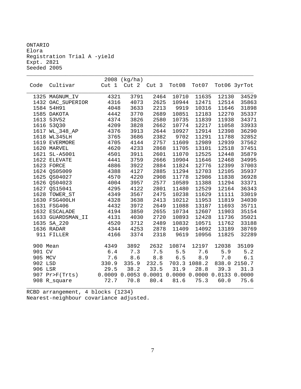ONTARIO Elora Registration Trial A -yield Expt. 2821 Seeded 2005

|          |                                     |                  | 2008 (kg/ha)     |              |                                                  |                |                |                |
|----------|-------------------------------------|------------------|------------------|--------------|--------------------------------------------------|----------------|----------------|----------------|
| Code     | Cultivar                            | Cut <sub>1</sub> | Cut <sub>2</sub> | Cut 3        | Tot08                                            | Tot07          |                | Tot06 3yrTot   |
|          |                                     | 4321             |                  | 2464         | 10710                                            | 11635          | 12130          | 34529          |
|          | 1325 MAGNUM_IV<br>1432 OAC_SUPERIOR | 4316             | 3791<br>4073     | 2625         | 10944                                            | 12471          | 12514          | 35863          |
|          | 1584 54H91                          | 4048             | 3633             | 2213         | 9919                                             | 10316          | 11646          | 31898          |
|          |                                     |                  |                  |              |                                                  |                | 12270          |                |
|          | 1585 DAKOTA                         | 4442             | 3770             | 2689         | 10851                                            | 12183          |                | 35337          |
|          | 1613 53V52<br>1616 53Q30            | 4374<br>4209     | 3826<br>3828     | 2580<br>2662 | 10735<br>10774                                   | 11839<br>12217 | 11938<br>11058 | 34371<br>33933 |
|          |                                     |                  |                  |              |                                                  |                |                |                |
|          | 1617 WL_348_AP                      | 4376             | 3913             | 2644         | 10927                                            | 12914          | 12398          | 36290          |
|          | 1618 WL345LH                        | 3765             | 3686             | 2382         | 9702                                             | 11291          | 11788          | 32852          |
|          | 1619 EVERMORE                       | 4705             | 4144             | 2757         | 11609                                            | 12989          | 12939          | 37562          |
|          | 1620 MARVEL                         | 4620             | 4233             | 2868         | 11705                                            | 13101          | 12518          | 37451          |
|          | 1621 SL-A5001                       | 4501             | 3911             | 2601         | 11070                                            | 12525          | 12448          | 35879          |
|          | 1622 ELEVATE                        | 4441             | 3759             | 2666         | 10904                                            | 11646          | 12468          | 34995          |
|          | 1623 FORCE                          | 4886             | 3922             | 2884         | 11824                                            | 12776          | 12399          | 37003          |
|          | 1624 QS05009                        | 4388             | 4127             | 2885         | 11294                                            | 12703          | 12105          | 35937          |
|          | 1625 QS04027                        | 4570             | 4220             | 2908         | 11778                                            | 12986          | 11838          | 36928          |
|          | 1626 QS04023                        | 4004             | 3957             | 2577         | 10589                                            | 11388          | 11294          | 33371          |
|          | 1627 QS15041                        | 4295             | 4122             | 2801         | 11480                                            | 12529          | 12164          | 36343          |
|          | 1628 TOWER_ST                       | 4349             | 3567             | 2475         | 10238                                            | 11629          | 11111          | 33019          |
|          | 1630 FSG400LH                       | 4328             | 3638             | 2413         | 10212                                            | 11953          | 11819          | 34030          |
|          | 1631 FSG406                         | 4432             | 3972             | 2649         | 11088                                            | 13187          | 11693          | 35711          |
|          | 1632 ESCALADE                       | 4194             | 3850             | 2655         | 10734                                            | 12607          | 11903          | 35154          |
|          | 1633 GUARDSMAN_II                   | 4131             | 4030             | 2720         | 10893                                            | 12428          | 11736          | 35021          |
|          | 1635 SA_220                         | 4520             | 3712             | 2489         | 10832                                            | 10571          | 11762          | 33188          |
|          | 1636 RADAR                          | 4344             | 4253             | 2878         | 11409                                            | 14092          | 13189          | 38769          |
|          | 911 FILLER                          | 4166             | 3374             | 2318         | 9619                                             | 10956          | 11825          | 32289          |
| 900 Mean |                                     | 4349             | 3892             | 2632         | 10874                                            | 12197          | 12038          | 35109          |
| 901 CV   |                                     | $6.4$            | 7.3              | 7.5          | 5.5                                              | 7.6            | 5.9            | 5.2            |
| 905 MCV  |                                     | 7.6              | 8.6              | 8.8          | 6.5                                              | 8.9            | 7.0            | $6.1$          |
| 902 LSD  |                                     | 330.9            | 335.9            | 232.5        |                                                  | 703.3 1088.2   |                | 838.0 2150.7   |
| 906 LSR  |                                     | 29.5             | 38.2             | 33.5         | 31.9                                             | 28.8           | 39.3           | 31.3           |
|          | 907 Pr>F(Trts)                      |                  |                  |              | 0.0009 0.0053 0.0001 0.0000 0.0000 0.0133 0.0000 |                |                |                |
|          | 908 R_square                        | 72.7             | 70.8             | 80.4         | 81.6                                             | 75.3           | 60.0           | 75.6           |
|          |                                     |                  |                  |              |                                                  |                |                |                |

\_\_\_\_\_\_\_\_\_\_\_\_\_\_\_\_\_\_\_\_\_\_\_\_\_\_\_\_\_\_\_\_\_\_\_\_\_\_\_\_\_\_\_\_\_\_\_\_\_\_\_\_\_\_\_\_\_\_\_\_\_\_\_\_\_\_\_\_\_\_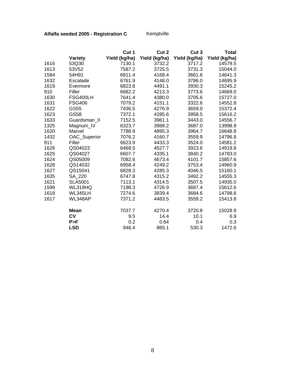# **Alfalfa seeded 2005 - Registration C** Kemptville

|      |                | Cut 1         | Cut 2         | Cut <sub>3</sub> | <b>Total</b>  |
|------|----------------|---------------|---------------|------------------|---------------|
|      | <b>Variety</b> | Yield (kg/ha) | Yield (kg/ha) | Yield (kg/ha)    | Yield (kg/ha) |
| 1616 | 53Q30          | 7130.1        | 3732.2        | 3717.2           | 14579.5       |
| 1613 | 53V52          | 7587.2        | 3725.5        | 3731.3           | 15044.0       |
| 1584 | 54H91          | 6811.4        | 4168.4        | 3661.6           | 14641.3       |
| 1632 | Escalade       | 6761.9        | 4148.0        | 3786.0           | 14695.9       |
| 1619 | Evermore       | 6823.8        | 4491.1        | 3930.3           | 15245.2       |
| 910  | Filler         | 6682.2        | 4213.3        | 3773.6           | 14669.0       |
| 1630 | FSG400LH       | 7641.4        | 4380.0        | 3705.6           | 15727.0       |
| 1631 | <b>FSG406</b>  | 7079.2        | 4151.1        | 3322.6           | 14552.8       |
| 1622 | GS55           | 7436.5        | 4276.9        | 3659.0           | 15372.4       |
| 1623 | GS58           | 7372.1        | 4285.6        | 3958.5           | 15616.2       |
| 1633 | Guardsman_II   | 7152.5        | 3961.1        | 3443.0           | 14556.7       |
| 1325 | Magnum_IV      | 6323.7        | 3988.2        | 3687.0           | 13998.9       |
| 1620 | Marvel         | 7788.9        | 4895.3        | 3964.7           | 16648.8       |
| 1432 | OAC_Superior   | 7076.2        | 4160.7        | 3559.9           | 14796.8       |
| 911  | Filler         | 6623.9        | 4433.3        | 3524.0           | 14581.2       |
| 1626 | QS04023        | 6468.5        | 4527.7        | 3923.6           | 14919.8       |
| 1625 | QS04027        | 6607.7        | 4335.1        | 3840.2           | 14783.0       |
| 1624 | QS05009        | 7082.6        | 4673.4        | 4101.7           | 15857.6       |
| 1628 | QS14032        | 6958.4        | 4249.2        | 3753.4           | 14960.9       |
| 1627 | QS15041        | 6828.3        | 4285.3        | 4046.5           | 15160.1       |
| 1635 | SA 220         | 6747.8        | 4315.2        | 3492.2           | 14555.3       |
| 1621 | <b>SLA5001</b> | 7113.1        | 4314.5        | 3507.5           | 14935.0       |
| 1599 | WL319HQ        | 7198.3        | 4726.9        | 3687.4           | 15612.6       |
| 1618 | WL345LH        | 7274.6        | 3839.4        | 3684.6           | 14798.6       |
| 1617 | WL348AP        | 7371.2        | 4483.5        | 3559.2           | 15413.8       |
|      | <b>Mean</b>    | 7037.7        | 4270.4        | 3720.8           | 15028.9       |
|      | <b>CV</b>      | 9.5           | 14.4          | 10.1             | 6.9           |
|      | P>F            | 0.2           | 0.64          | 0.4              | 0.3           |
|      | <b>LSD</b>     | 946.4         | 865.1         | 530.3            | 1472.6        |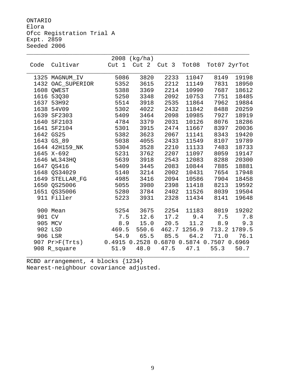ONTARIO Elora Ofcc Registration Trial A Expt. 2859 Seeded 2006

|        |                | 2008                                      | (kg/ha) |             |              |       |              |
|--------|----------------|-------------------------------------------|---------|-------------|--------------|-------|--------------|
| Code   | Cultivar       | Cut <sub>1</sub>                          |         | Cut 2 Cut 3 | Tot08        |       | Tot07 2yrTot |
|        |                |                                           |         |             |              |       |              |
|        | 1325 MAGNUM_IV | 5086                                      | 3820    | 2233        | 11047        | 8149  | 19198        |
| 1432   | OAC_SUPERIOR   | 5352                                      | 3615    | 2212        | 11149        | 7831  | 18950        |
| 1608   | OWEST          | 5388                                      | 3369    | 2214        | 10990        | 7687  | 18612        |
| 1616   | 53Q30          | 5250                                      | 3348    | 2092        | 10753        | 7751  | 18485        |
| 1637   | 53H92          | 5514                                      | 3918    | 2535        | 11864        | 7962  | 19884        |
| 1638   | 54V09          | 5302                                      | 4022    | 2432        | 11842        | 8488  | 20259        |
| 1639   | SF2303         | 5409                                      | 3464    | 2098        | 10985        | 7927  | 18919        |
| 1640   | SF2103         | 4784                                      | 3379    | 2031        | 10126        | 8076  | 18286        |
| 1641   | SF2104         | 5301                                      | 3915    | 2474        | 11667        | 8397  | 20036        |
| 1642   | <b>GS25</b>    | 5382                                      | 3623    | 2067        | 11141        | 8343  | 19420        |
|        | 1643 GS_89     | 5038                                      | 4055    | 2433        | 11549        | 8107  | 19789        |
| 1644   | 42H159 NK      | 5304                                      | 3528    | 2210        | 11133        | 7483  | 18733        |
| 1645   | $X-692$        | 5231                                      | 3762    | 2207        | 11097        | 8059  | 19147        |
| 1646   | WL343HQ        | 5639                                      | 3918    | 2543        | 12083        | 8288  | 20300        |
|        | 1647 OS416     | 5409                                      | 3445    | 2083        | 10844        | 7885  | 18881        |
|        | 1648 OS34029   | 5140                                      | 3214    | 2002        | 10431        | 7654  | 17948        |
| 1649   | STELLAR FG     | 4985                                      | 3416    | 2094        | 10586        | 7904  | 18458        |
| 1650   | QS25006        | 5055                                      | 3980    | 2398        | 11418        | 8213  | 19592        |
|        | 1651 QS35006   | 5280                                      | 3784    | 2402        | 11526        | 8039  | 19504        |
|        | 911 Filler     | 5223                                      | 3931    | 2328        | 11434        | 8141  | 19648        |
|        |                |                                           |         |             |              |       |              |
|        | 900 Mean       | 5254                                      | 3675    | 2254        | 11183        | 8019  | 19202        |
| 901 CV |                | 7.5                                       | 12.6    | 17.2        | 9.4          | 7.5   | 7.8          |
|        | 905 MCV        | 8.9                                       | 15.0    | 20.5        | 11.2         | 8.9   | 9.3          |
|        | 902 LSD        | 469.5                                     | 550.6   |             | 462.7 1256.9 | 713.2 | 1789.5       |
|        | 906 LSR        | 54.9                                      | 65.5    | 85.5        | 64.2         | 71.0  | 76.1         |
|        | 907 Pr>F(Trts) | 0.4915 0.2528 0.6870 0.5874 0.7507 0.6969 |         |             |              |       |              |
|        | 908 R_square   | 51.9                                      | 48.0    | 47.5        | 47.1         | 55.3  | 50.7         |
|        |                |                                           |         |             |              |       |              |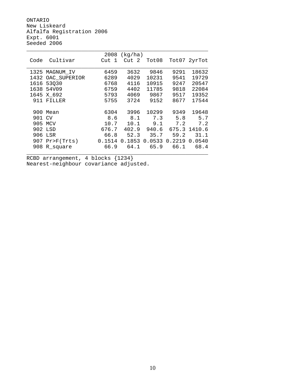ONTARIO New Liskeard Alfalfa Registration 2006 Expt. 6001 Seeded 2006

|        |                  | 2008   | (kg/ha) |        |        |              |
|--------|------------------|--------|---------|--------|--------|--------------|
| Code   | Cultivar         | Cut 1  | Cut 2   | Tot08  |        | Tot07 2yrTot |
|        |                  |        |         |        |        |              |
|        | 1325 MAGNUM_IV   | 6459   | 3632    | 9846   | 9291   | 18632        |
| 1432   | OAC_SUPERIOR     | 6289   | 4029    | 10231  | 9541   | 19729        |
| 1616   | 53030            | 6768   | 4116    | 10915  | 9247   | 20547        |
| 1638   | 54V09            | 6759   | 4402    | 11785  | 9818   | 22084        |
| 1645   | X 692            | 5793   | 4069    | 9867   | 9517   | 19352        |
| 911    | FILLER           | 5755   | 3724    | 9152   | 8677   | 17544        |
|        |                  |        |         |        |        |              |
| 900    | Mean             | 6304   | 3996    | 10299  | 9349   | 19648        |
| 901 CV |                  | 8.6    | 8.1     | 7.3    | 5.8    | 5.7          |
| 905    | MCV              | 10.7   | 10.1    | 9.1    | 7.2    | 7.2          |
|        | 902 LSD          | 676.7  | 402.9   | 940.6  |        | 675.3 1410.6 |
|        | 906 LSR          | 66.8   | 52.3    | 35.7   | 59.2   | 31.1         |
|        | $907$ Pr>F(Trts) | 0.1514 | 0.1853  | 0.0533 | 0.2219 | 0.0540       |
|        | 908 R_square     | 66.9   | 64.1    | 65.9   | 66.1   | 68.4         |
|        |                  |        |         |        |        |              |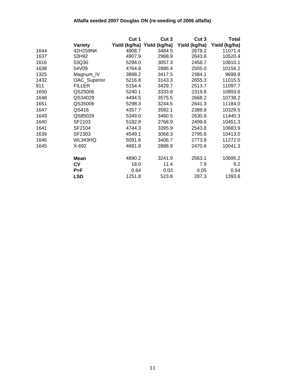## **Alfalfa seeded 2007 Douglas ON (re-seeding of 2006 alfalfa)**

|      |                | Cut 1  | Cut 2                       | Cut 3         | Total         |
|------|----------------|--------|-----------------------------|---------------|---------------|
|      | <b>Variety</b> |        | Yield (kg/ha) Yield (kg/ha) | Yield (kg/ha) | Yield (kg/ha) |
| 1644 | 42H159NK       | 4908.7 | 3484.5                      | 2678.2        | 11071.4       |
| 1637 | 53H92          | 4907.9 | 2968.9                      | 2643.6        | 10520.4       |
| 1616 | 53Q30          | 5294.0 | 3057.3                      | 2458.7        | 10810.1       |
| 1638 | 54V09          | 4764.8 | 2886.4                      | 2505.0        | 10156.2       |
| 1325 | Magnum_IV      | 3898.2 | 3417.5                      | 2384.1        | 9699.8        |
| 1432 | OAC_Superior   | 5216.8 | 3143.3                      | 2655.3        | 11015.5       |
| 911  | <b>FILLER</b>  | 5154.4 | 3429.7                      | 2513.7        | 11097.7       |
| 1650 | QS25006        | 5240.1 | 3333.8                      | 2319.8        | 10893.6       |
| 1648 | QS34029        | 4494.5 | 3575.5                      | 2668.2        | 10738.2       |
| 1651 | QS35006        | 5298.3 | 3244.5                      | 2641.3        | 11184.0       |
| 1647 | QS416          | 4357.7 | 3582.1                      | 2389.8        | 10329.5       |
| 1649 | QS85029        | 5349.0 | 3460.5                      | 2630.8        | 11440.3       |
| 1640 | SF2103         | 5182.8 | 2768.9                      | 2499.6        | 10451.3       |
| 1641 | SF2104         | 4744.3 | 3395.9                      | 2543.8        | 10683.9       |
| 1639 | SF2303         | 4549.1 | 3068.3                      | 2795.6        | 10413.0       |
| 1646 | WL343HQ        | 5091.6 | 3406.7                      | 2773.9        | 11272.0       |
| 1645 | X-692          | 4681.8 | 2888.9                      | 2470.6        | 10041.3       |
|      | Mean           | 4890.2 | 3241.9                      | 2563.1        | 10695.2       |
|      | <b>CV</b>      | 18.0   | 11.4                        | 7.9           | 9.2           |
|      | P>F            | 0.64   | 0.03                        | 0.05          | 0.54          |
|      | <b>LSD</b>     | 1251.8 | 523.8                       | 287.3         | 1393.6        |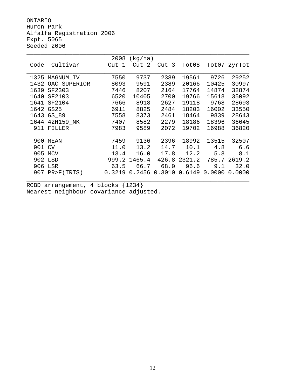ONTARIO Huron Park Alfalfa Registration 2006 Expt. 5065 Seeded 2006

|      |              | 2008   | (kg/ha)    |                   |        |        |              |
|------|--------------|--------|------------|-------------------|--------|--------|--------------|
| Code | Cultivar     | Cut 1  | - 2<br>Cut | Cut <sub>3</sub>  | Tot08  |        | Tot07 2yrTot |
|      |              |        |            |                   |        |        |              |
| 1325 | MAGNUM_IV    | 7550   | 9737       | 2389              | 19561  | 9726   | 29252        |
| 1432 | OAC_SUPERIOR | 8093   | 9591       | 2389              | 20166  | 10425  | 30997        |
| 1639 | SF2303       | 7446   | 8207       | 2164              | 17764  | 14874  | 32874        |
| 1640 | SF2103       | 6520   | 10405      | 2700              | 19766  | 15618  | 35092        |
| 1641 | SF2104       | 7666   | 8918       | 2627              | 19118  | 9768   | 28693        |
|      | 1642 GS25    | 6911   | 8825       | 2484              | 18203  | 16002  | 33550        |
| 1643 | GS_89        | 7558   | 8373       | 2461              | 18464  | 9839   | 28643        |
| 1644 | 42H159 NK    | 7407   | 8582       | 2279              | 18186  | 18396  | 36645        |
| 911  | FILLER       | 7983   | 9589       | 2072              | 19702  | 16988  | 36820        |
|      |              |        |            |                   |        |        |              |
| 900  | MEAN         | 7459   | 9136       | 2396              | 18992  | 13515  | 32507        |
| 901  | CV           | 11.0   | 13.2       | 14.7              | 10.1   | 4.8    | 6.6          |
| 905  | MCV          | 13.4   | 16.0       | 17.8              | 12.2   | 5.8    | 8.1          |
|      | 902 LSD      | 999.2  | 1465.4     | 426.8             | 2321.2 |        | 785.7 2619.2 |
| 906  | LSR          | 63.5   | 66.7       | 68.0              | 96.6   | 9.1    | 32.0         |
| 907  | PR>F(TRTS)   | 0.3219 |            | $0.2456$ $0.3010$ | 0.6149 | 0.0000 | 0.0000       |
|      |              |        |            |                   |        |        |              |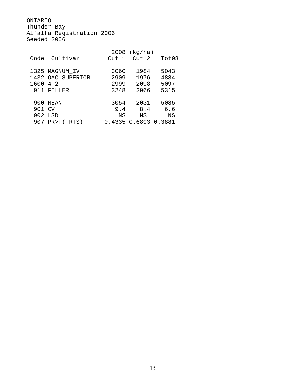ONTARIO Thunder Bay Alfalfa Registration 2006 Seeded 2006

|          |                   |                  | $2008$ (kg/ha)       |       |  |
|----------|-------------------|------------------|----------------------|-------|--|
| Code     | Cultivar          | Cut <sub>1</sub> | Cut 2                | Tot08 |  |
|          |                   |                  |                      |       |  |
|          | 1325 MAGNUM_IV    | 3060             | 1984                 | 5043  |  |
|          | 1432 OAC_SUPERIOR | 2909             | 1976                 | 4884  |  |
| 1600 4.2 |                   | 2999             | 2098                 | 5097  |  |
|          | 911 FILLER        | 3248             | 2066                 | 5315  |  |
|          |                   |                  |                      |       |  |
| 900      | MEAN              | 3054             | 2031                 | 5085  |  |
| 901 CV   |                   | 9.4              | 8.4                  | 6.6   |  |
|          | 902 LSD           | ΝS               | ΝS                   | ΝS    |  |
|          | 907 PR>F(TRTS)    |                  | 0.4335 0.6893 0.3881 |       |  |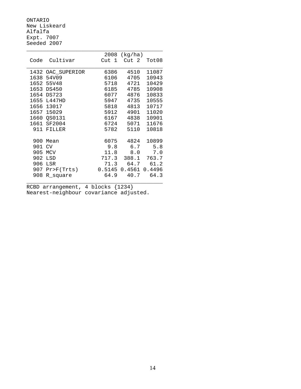ONTARIO New Liskeard Alfalfa Expt. 7007 Seeded 2007

|      |               | 2008  | (kg/ha)         |        |
|------|---------------|-------|-----------------|--------|
| Code | Cultivar      | Cut 1 | Cut 2           | Tot08  |
|      |               |       |                 |        |
| 1432 | OAC_SUPERIOR  | 6386  | 4510            | 11087  |
| 1638 | 54V09         | 6106  | 4705            | 10943  |
|      | 1652 55V48    | 5718  | 4721            | 10429  |
| 1653 | <b>DS450</b>  | 6185  | 4785            | 10908  |
| 1654 | <b>DS723</b>  | 6077  | 4876            | 10833  |
| 1655 | L447HD        | 5947  | 4735            | 10555  |
| 1656 | 13017         | 5818  | 4813            | 10717  |
| 1657 | 15029         | 5912  | 4901            | 11020  |
| 1660 | <b>QS0131</b> | 6167  | 4838            | 10901  |
|      | 1661 SF2004   | 6724  | 5071            | 11676  |
| 911  | FILLER        | 5782  | 5110            | 10818  |
|      |               |       |                 |        |
| 900  | Mean          | 6075  | 4824            | 10899  |
| 901  | <b>CV</b>     | 9.8   | 6.7             | 5.8    |
| 905  | <b>MCV</b>    | 11.8  | 8.0             | 7.0    |
| 902  | LSD           | 717.3 | 388.1           | 763.7  |
| 906  | LSR           | 71.3  | 64.7            | 61.2   |
| 907  | Pr > F(Trts)  |       | $0.5145$ 0.4561 | 0.4496 |
| 908  | R square      | 64.9  | 40.7            | 64.3   |
|      |               |       |                 |        |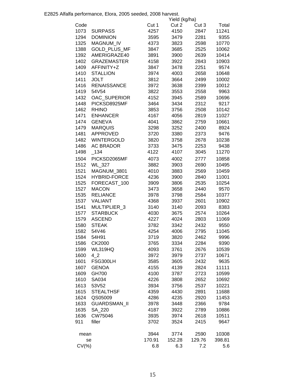E2825 Alfalfa performance, Elora, 2005 seeded, 2008 harvest.

|           |                     |        | Yield (kg/ha) |        |        |
|-----------|---------------------|--------|---------------|--------|--------|
| Code      |                     | Cut 1  | Cut 2         | Cut 3  | Total  |
| 1073      | <b>SURPASS</b>      | 4257   | 4150          | 2847   | 11241  |
| 1294      | <b>DOMINION</b>     | 3595   | 3479          | 2281   | 9355   |
| 1325      | <b>MAGNUM IV</b>    | 4373   | 3823          | 2598   | 10770  |
| 1388      | GOLD_PLUS_MF        | 3847   | 3685          | 2525   | 10062  |
| 1392      | AMERIGRAZE40        | 3891   | 3900          | 2639   | 10414  |
| 1402      | <b>GRAZEMASTER</b>  | 4158   | 3922          | 2843   | 10903  |
| 1409      | AFFINITY+Z          | 3847   | 3478          | 2251   | 9574   |
| 1410      | <b>STALLION</b>     | 3974   | 4003          | 2658   | 10648  |
| 1411      | <b>JOLT</b>         | 3812   | 3664          | 2499   | 10002  |
| 1416      | <b>RENAISSANCE</b>  | 3972   | 3638          |        | 10012  |
| 1419      |                     |        |               | 2399   |        |
|           | 54V54               | 3822   | 3553          | 2558   | 9963   |
| 1432      | OAC_SUPERIOR        | 4152   | 3945          | 2589   | 10696  |
| 1448      | PICKSD8925MF        | 3464   | 3434          | 2312   | 9217   |
| 1462      | <b>RHINO</b>        | 3853   | 3756          | 2508   | 10142  |
| 1471      | <b>ENHANCER</b>     | 4167   | 4056          | 2819   | 11027  |
| 1474      | <b>GENEVA</b>       | 4041   | 3862          | 2759   | 10661  |
| 1479      | <b>MARQUIS</b>      | 3298   | 3252          | 2400   | 8924   |
| 1481      | <b>APPROVED</b>     | 3720   | 3380          | 2373   | 9476   |
| 1482      | <b>WINTERGOLD</b>   | 3820   | 3758          | 2678   | 10238  |
| 1486      | <b>AC BRADOR</b>    | 3733   | 3475          | 2253   | 9438   |
| 1498      | $-134$              | 4122   | 4107          | 3045   | 11270  |
| 1504      | PICKSD2065MF        | 4073   | 4002          | 2777   | 10858  |
| 1512      | WL_327              | 3882   | 3903          | 2690   | 10495  |
| 1521      | MAGNUM_3801         | 4010   | 3883          | 2569   | 10459  |
| 1524      | <b>HYBRID-FORCE</b> | 4236   | 3900          | 2840   | 11001  |
| 1525      | FORECAST_100        | 3909   | 3806          | 2535   | 10254  |
| 1527      | <b>MACON</b>        | 3473   | 3658          | 2440   | 9570   |
| 1535      | <b>RELIANCE</b>     | 3978   | 3798          | 2584   | 10377  |
| 1537      | <b>VALIANT</b>      | 4368   | 3937          | 2601   | 10902  |
| 1541      | MULTIPLIER 3        | 3140   | 3140          | 2093   | 8383   |
| 1577      | <b>STARBUCK</b>     | 4030   | 3675          | 2574   | 10264  |
| 1579      | <b>ASCEND</b>       | 4227   | 4024          | 2803   | 11069  |
| 1580      | <b>STEAK</b>        | 3782   | 3342          | 2432   | 9550   |
| 1582      | 54V46               | 4254   | 4006          | 2795   | 11045  |
| 1584      | 54H91               | 3719   | 3820          | 2462   | 9996   |
| 1586      | CK2000              | 3765   | 3334          | 2284   | 9390   |
| 1599      | WL319HQ             | 4093   | 3761          | 2676   | 10539  |
| 1600      | 42                  | 3972   | 3979          | 2737   | 10671  |
| 1601      | FSG300LH            | 3585   | 3605          | 2432   | 9635   |
|           | <b>GENOA</b>        | 4155   |               |        |        |
| 1607      |                     |        | 4139          | 2824   | 11111  |
| 1609      | <b>GH700</b>        | 4100   | 3787          | 2723   | 10599  |
| 1610      | SA034               | 4226   | 3808          | 2652   | 10692  |
| 1613      | 53V52               | 3934   | 3756          | 2537   | 10221  |
| 1615      | <b>STEALTHSF</b>    | 4359   | 4430          | 2891   | 11688  |
| 1624      | QS05009             | 4286   | 4235          | 2920   | 11453  |
| 1633      | <b>GUARDSMAN II</b> | 3978   | 3448          | 2366   | 9784   |
| 1635      | SA_220              | 4187   | 3922          | 2789   | 10886  |
| 1636      | CW75046             | 3935   | 3974          | 2618   | 10511  |
| 911       | filler              | 3702   | 3524          | 2415   | 9647   |
| mean      |                     | 3944   | 3774          | 2590   | 10308  |
|           | se                  | 170.91 | 152.28        | 129.76 | 398.81 |
| $CV(\% )$ |                     | 6.8    | 6.3           | 7.2    | 5.6    |
|           |                     |        |               |        |        |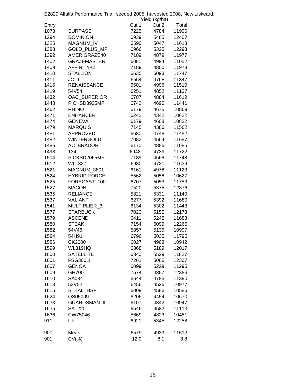|              | E2829 Alfalfa Performance Trial, seeded 2005, harvested 2008, New Liskeard. |       | Yield (kg/ha) |       |
|--------------|-----------------------------------------------------------------------------|-------|---------------|-------|
| Entry        |                                                                             | Cut 1 | Cut 2         | Total |
| 1073         | <b>SURPASS</b>                                                              | 7225  | 4784          | 11996 |
| 1294         | <b>DOMINION</b>                                                             | 6939  | 5485          | 12407 |
| 1325         | MAGNUM_IV                                                                   | 6590  | 5047          | 11618 |
| 1388         | GOLD_PLUS_MF                                                                | 6966  | 5325          | 12293 |
| 1392         | AMERIGRAZE40                                                                | 7109  | 4879          | 11977 |
| 1402         | <b>GRAZEMASTER</b>                                                          | 6081  | 4994          | 11052 |
| 1409         | AFFINITY+Z                                                                  | 7189  | 4800          | 11973 |
| 1410         | <b>STALLION</b>                                                             | 6635  | 5093          | 11747 |
| 1411         | <b>JOLT</b>                                                                 | 6564  | 4768          | 11347 |
| 1416         | <b>RENAISSANCE</b>                                                          | 6501  | 4996          | 11510 |
| 1419         | 54V54                                                                       | 6251  | 4852          | 11137 |
| 1432         | OAC_SUPERIOR                                                                | 6707  | 4884          | 11612 |
| 1448         | PICKSD8925MF                                                                | 6742  | 4690          | 11441 |
| 1462         | <b>RHINO</b>                                                                | 6179  | 4675          | 10869 |
| 1471         | ENHANCER                                                                    | 6242  | 4342          | 10622 |
| 1474         | <b>GENEVA</b>                                                               | 6179  | 4608          | 10822 |
|              | <b>MARQUIS</b>                                                              | 7145  |               |       |
| 1479<br>1481 | APPROVED                                                                    |       | 4386          | 11562 |
|              |                                                                             | 6680  | 4748          | 11482 |
| 1482         | WINTERGOLD                                                                  | 7082  | 4564          | 11687 |
| 1486         | AC_BRADOR                                                                   | 6170  | 4886          | 11085 |
| 1498         | 134                                                                         | 6948  | 4739          | 11722 |
| 1504         | PICKSD2065MF                                                                | 7189  | 4568          | 11748 |
| 1512         | <b>WL_327</b>                                                               | 6930  | 4721          | 11639 |
| 1521         | MAGNUM_3801                                                                 | 6161  | 4978          | 11123 |
| 1524         | <b>HYBRID-FORCE</b>                                                         | 5562  | 5058          | 10627 |
| 1525         | FORECAST_100                                                                | 6707  | 5053          | 11753 |
| 1527         | <b>MACON</b>                                                                | 7520  | 5375          | 12876 |
| 1535         | <b>RELIANCE</b>                                                             | 5821  | 5331          | 11140 |
| 1537         | <b>VALIANT</b>                                                              | 6277  | 5392          | 11680 |
| 1541         | MULTIPLIER_3                                                                | 6134  | 5302          | 11443 |
| 1577         | <b>STARBUCK</b>                                                             | 7020  | 5155          | 12178 |
| 1579         | <b>ASCEND</b>                                                               | 6411  | 5245          | 11683 |
| 1580         | <b>STEAK</b>                                                                | 7154  | 5099          | 12265 |
| 1582         | 54V46                                                                       | 5857  | 5139          | 10997 |
| 1584         | 54H91                                                                       | 6796  | 5035          | 11795 |
| 1586         | CK2000                                                                      | 6027  | 4908          | 10942 |
| 1599         | WL319HQ                                                                     | 6868  | 5189          | 12017 |
| 1600         | <b>SATELLITE</b>                                                            | 6340  | 5529          | 11827 |
| 1601         | FSG300LH                                                                    | 7261  | 5066          | 12307 |
| 1607         | <b>GENOA</b>                                                                | 6099  | 5229          | 11295 |
| 1609         | GH700                                                                       | 7574  | 4857          | 12386 |
| 1610         | SA034                                                                       | 6644  | 4785          | 11390 |
| 1613         | 53V52                                                                       | 6456  | 4526          | 10977 |
| 1615         | <b>STEALTHSF</b>                                                            | 6009  | 4586          | 10586 |
| 1624         | QS05009                                                                     | 6206  | 4454          | 10670 |
| 1633         | GUARDSMAN_II                                                                | 6107  | 4842          | 10947 |
| 1635         | SA_220                                                                      | 6546  | 4582          | 11113 |
| 1636         | CW75046                                                                     | 5669  | 4823          | 10481 |
| 911          | filler                                                                      | 6921  | 5345          | 12258 |
|              |                                                                             |       |               |       |
| 900          | Mean                                                                        | 6579  | 4933          | 11512 |
| 901          | $CV(\%)$                                                                    | 12.0  | 8.1           | 8.8   |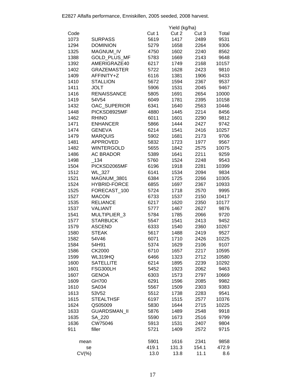|           |                     |       | Yield (kg/ha) |       |       |
|-----------|---------------------|-------|---------------|-------|-------|
| Code      |                     | Cut 1 | Cut 2         | Cut 3 | Total |
| 1073      | <b>SURPASS</b>      | 5619  | 1417          | 2489  | 9531  |
| 1294      | <b>DOMINION</b>     | 5279  | 1658          | 2264  | 9306  |
| 1325      | <b>MAGNUM IV</b>    | 4750  | 1602          | 2240  | 8562  |
| 1388      | <b>GOLD PLUS MF</b> | 5783  | 1669          | 2143  | 9648  |
| 1392      | AMERIGRAZE40        | 6217  | 1749          | 2168  | 10157 |
| 1402      | <b>GRAZEMASTER</b>  | 5722  | 1628          | 2423  | 9810  |
| 1409      | AFFINITY+Z          | 6116  | 1381          | 1906  | 9433  |
| 1410      | <b>STALLION</b>     | 5672  | 1594          | 2367  | 9537  |
| 1411      | <b>JOLT</b>         | 5906  | 1531          | 2045  | 9467  |
| 1416      | <b>RENAISSANCE</b>  | 5805  | 1691          | 2654  | 10000 |
| 1419      | 54V54               | 6049  | 1781          | 2395  | 10158 |
| 1432      | OAC_SUPERIOR        | 6341  | 1640          | 2563  | 10446 |
|           |                     |       |               |       |       |
| 1448      | PICKSD8925MF        | 4880  | 1445          | 2214  | 8456  |
| 1462      | <b>RHINO</b>        | 6011  | 1601          | 2290  | 9812  |
| 1471      | <b>ENHANCER</b>     | 5866  | 1444          | 2427  | 9742  |
| 1474      | <b>GENEVA</b>       | 6214  | 1541          | 2416  | 10257 |
| 1479      | <b>MARQUIS</b>      | 5902  | 1681          | 2173  | 9706  |
| 1481      | <b>APPROVED</b>     | 5832  | 1723          | 1977  | 9567  |
| 1482      | <b>WINTERGOLD</b>   | 5655  | 1842          | 2575  | 10075 |
| 1486      | <b>AC BRADOR</b>    | 5389  | 1641          | 2211  | 9259  |
| 1498      | $-134$              | 5760  | 1524          | 2248  | 9543  |
| 1504      | PICKSD2065MF        | 6196  | 1918          | 2281  | 10399 |
| 1512      | <b>WL_327</b>       | 6141  | 1534          | 2094  | 9834  |
| 1521      | MAGNUM_3801         | 6384  | 1725          | 2266  | 10305 |
| 1524      | <b>HYBRID-FORCE</b> | 6855  | 1697          | 2367  | 10933 |
| 1525      | FORECAST_100        | 5724  | 1718          | 2570  | 9995  |
| 1527      | <b>MACON</b>        | 6733  | 1537          | 2150  | 10417 |
| 1535      | <b>RELIANCE</b>     | 6217  | 1620          | 2350  | 10177 |
| 1537      | <b>VALIANT</b>      | 5777  | 1467          | 2627  | 9876  |
| 1541      | MULTIPLIER_3        | 5784  | 1785          | 2066  | 9720  |
| 1577      | <b>STARBUCK</b>     | 5547  | 1541          | 2413  | 9452  |
| 1579      | <b>ASCEND</b>       | 6333  | 1540          | 2360  | 10267 |
| 1580      | <b>STEAK</b>        | 5617  | 1488          | 2419  | 9527  |
| 1582      | 54V46               | 6071  | 1710          | 2426  | 10225 |
| 1584      | 54H91               | 5374  | 1629          | 2106  | 9107  |
| 1586      | CK2000              | 6710  | 1657          | 2217  | 10595 |
| 1599      | WL319HQ             | 6466  | 1323          | 2712  | 10580 |
| 1600      | <b>SATELLITE</b>    | 6214  | 1895          | 2239  | 10292 |
| 1601      | FSG300LH            | 5452  | 1923          | 2062  | 9463  |
| 1607      | <b>GENOA</b>        | 6303  | 1573          | 2797  | 10669 |
| 1609      | GH700               | 6291  | 1596          | 2085  | 9982  |
| 1610      | SA034               | 5567  | 1509          | 2303  | 9383  |
| 1613      | 53V52               | 5512  | 1738          | 2283  | 9541  |
| 1615      | <b>STEALTHSF</b>    | 6197  | 1515          | 2577  | 10376 |
| 1624      | QS05009             | 5830  | 1644          | 2715  | 10225 |
| 1633      | <b>GUARDSMAN II</b> | 5876  | 1489          | 2548  | 9918  |
| 1635      | SA 220              | 5590  | 1673          | 2516  | 9799  |
| 1636      | CW75046             | 5913  | 1531          | 2407  | 9804  |
| 911       | filler              | 5721  | 1409          | 2572  | 9715  |
|           |                     |       |               |       |       |
| mean      |                     | 5901  | 1616          | 2341  | 9858  |
| se        |                     | 419.1 | 131.3         | 154.1 | 472.9 |
| $CV(\% )$ |                     | 13.0  | 13.8          | 11.1  | 8.6   |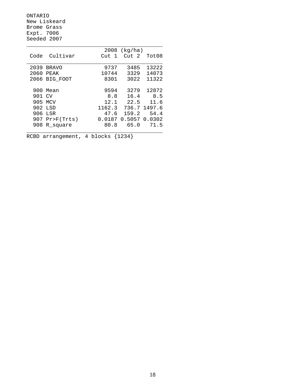ONTARIO New Liskeard Brome Grass Expt. 7006 Seeded 2007

|        |              | 2008                  | (kg/ha)              |        |
|--------|--------------|-----------------------|----------------------|--------|
| Code   | Cultivar     | $\overline{1}$<br>Cut | Cut 2                | Tot08  |
|        |              |                       |                      |        |
| 2039   | <b>BRAVO</b> | 9737                  | 3485                 | 13222  |
| 2060   | PEAK         | 10744                 | 3329                 | 14073  |
| 2066   | BIG_FOOT     | 8301                  | 3022                 | 11322  |
|        |              |                       |                      |        |
| 900    | Mean         | 9594                  | 3279                 | 12872  |
| 901 CV |              | 8.8                   | 16.4                 | 8.5    |
| 905    | MCV          | 12.1                  | 22.5                 | 11.6   |
|        | 902 LSD      | 1162.3                | 736.7                | 1497.6 |
| 906    | LSR          | 47.6                  | 159.2                | 54.4   |
| 907    | Pr>F(Trts)   |                       | 0.0187 0.5057 0.0302 |        |
| 908    | R square     | 80.8                  | 65.0                 | 71.5   |
|        |              |                       |                      |        |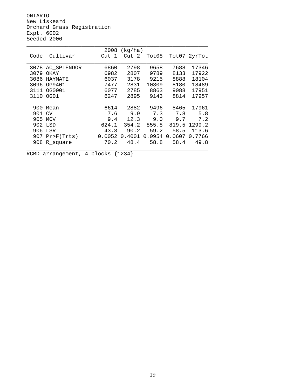ONTARIO New Liskeard Orchard Grass Registration Expt. 6002 Seeded 2006

|      |               | 2008   | (kg/ha) |        |        |              |
|------|---------------|--------|---------|--------|--------|--------------|
| Code | Cultivar      | Cut 1  | Cut 2   | Tot08  |        | Tot07 2yrTot |
|      |               |        |         |        |        |              |
| 3078 | AC_SPLENDOR   | 6860   | 2798    | 9658   | 7688   | 17346        |
| 3079 | OKAY          | 6982   | 2807    | 9789   | 8133   | 17922        |
| 3086 | HAYMATE       | 6037   | 3178    | 9215   | 8888   | 18104        |
| 3096 | OG9401        | 7477   | 2831    | 10309  | 8180   | 18489        |
| 3111 | OG0001        | 6077   | 2785    | 8863   | 9088   | 17951        |
| 3110 | OG01          | 6247   | 2895    | 9143   | 8814   | 17957        |
|      |               |        |         |        |        |              |
| 900  | Mean          | 6614   | 2882    | 9496   | 8465   | 17961        |
| 901  | CV            | 7.6    | 9.9     | 7.3    | 7.8    | 5.8          |
| 905  | MCV           | 9.4    | 12.3    | 9.0    | 9.7    | 7.2          |
|      | 902 LSD       | 624.1  | 354.2   | 855.8  | 819.5  | 1299.2       |
| 906  | LSR           | 43.3   | 90.2    | 59.2   | 58.5   | 113.6        |
| 907  | $Pr$ >F(Trts) | 0.0052 | 0.4001  | 0.0954 | 0.0607 | 0.7766       |
| 908  | R_square      | 70.2   | 48.4    | 58.8   | 58.4   | 49.8         |
|      |               |        |         |        |        |              |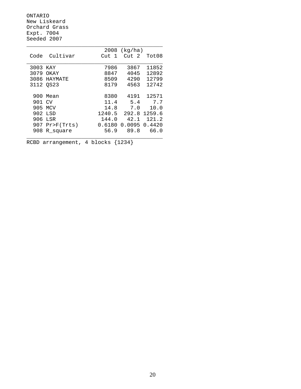ONTARIO New Liskeard Orchard Grass Expt. 7004 Seeded 2007

|        |                | 2008   | (kg/ha) |        |
|--------|----------------|--------|---------|--------|
| Code   | Cultivar       | Cut 1  | Cut 2   | Tot08  |
|        |                |        |         |        |
| 3003   | KAY            | 7986   | 3867    | 11852  |
| 3079   | OKAY           | 8847   | 4045    | 12892  |
| 3086   | HAYMATE        | 8509   | 4290    | 12799  |
|        | 3112 OS23      | 8179   | 4563    | 12742  |
|        |                |        |         |        |
| 900    | Mean           | 8380   | 4191    | 12571  |
| 901 CV |                | 11.4   | 5.4     | 7.7    |
| 905    | MCV            | 14.8   | 7.0     | 10.0   |
| 902.   | LSD            | 1240.5 | 292.8   | 1259.6 |
| 906    | LSR            | 144.0  | 42.1    | 121.2  |
| 907    | $Pr$ $F(Trts)$ | 0.6180 | 0.0095  | 0.4420 |
| 908    | R square       | 56.9   | 89.8    | 66.0   |
|        |                |        |         |        |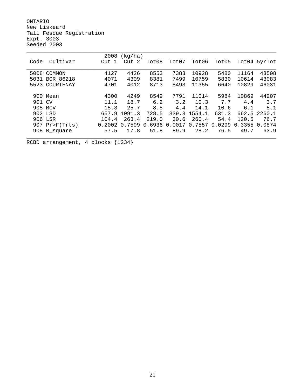ONTARIO New Liskeard Tall Fescue Registration Expt. 3003 Seeded 2003

|        |                  | 2008   | (kg/ha)   |                   |                    |                   |                   |        |                  |
|--------|------------------|--------|-----------|-------------------|--------------------|-------------------|-------------------|--------|------------------|
| Code   | Cultivar         | Cut 1  | -2<br>Cut | Tot08             | Tot07              | Tot06             | Tot05             |        | Tot04 5yrTot     |
|        |                  |        |           |                   |                    |                   |                   |        |                  |
| 5008   | COMMON           | 4127   | 4426      | 8553              | 7383               | 10928             | 5480              | 11164  | 43508            |
| 5031   | BOR 86218        | 4071   | 4309      | 8381              | 7499               | 10759             | 5830              | 10614  | 43083            |
| 5523   | COURTENAY        | 4701   | 4012      | 8713              | 8493               | 11355             | 6640              | 10829  | 46031            |
|        |                  |        |           |                   |                    |                   |                   |        |                  |
|        | 900 Mean         | 4300   | 4249      | 8549              | 7791               | 11014             | 5984              | 10869  | 44207            |
| 901 CV |                  | 11.1   | 18.7      | 6.2               | 3.2                | 10.3              | 7.7               | 4.4    | 3.7              |
|        | 905 MCV          | 15.3   | 25.7      | 8.5               | 4.4                | 14.1              | 10.6              | 6.1    | 5.1              |
|        | 902 LSD          | 657.9  | 1091.3    | 728.5             |                    | 339.3 1554.1      | 631.3             |        | 662.5 2260.1     |
|        | 906 LSR          | 104.4  | 263.4     | 219.0             | 30.6               | 260.4             | 54.4              | 120.5  | 76.7             |
|        | $907$ Pr>F(Trts) | 0.2002 | 0.7599    | .6936<br>$\Omega$ | 0017<br>$\Omega$ . | .7557<br>$\Omega$ | .0299<br>$\Omega$ | 0.3355 | 0874<br>$\Omega$ |
|        | 908 R_square     | 57.5   | 17.8      | 51.8              | 89.9               | 28.2              | 76.5              | 49.7   | 63.9             |
|        |                  |        |           |                   |                    |                   |                   |        |                  |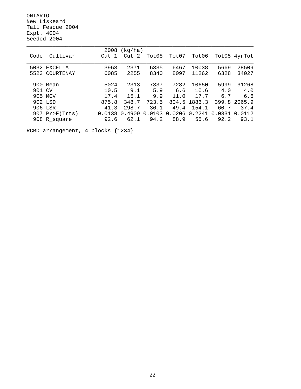ONTARIO New Liskeard Tall Fescue 2004 Expt. 4004 Seeded 2004

|                   | 2008   | (kq/ha) |        |        |        |            |                    |
|-------------------|--------|---------|--------|--------|--------|------------|--------------------|
| Cultivar<br>Code  | Cut 1  | Cut 2   | Tot08  | Tot07  | Tot06  | Tot05      | 4yrTot             |
|                   |        |         |        |        |        |            |                    |
| 5032 EXCELLA      | 3963   | 2371    | 6335   | 6467   | 10038  | 5669       | 28509              |
| COURTENAY<br>5523 | 6085   | 2255    | 8340   | 8097   | 11262  | 6328       | 34027              |
|                   |        |         |        |        |        |            |                    |
| 900 Mean          | 5024   | 2313    | 7337   | 7282   | 10650  | 5999       | 31268              |
| 901 CV            | 10.5   | 9.1     | 5.9    | 6.6    | 10.6   | 4.0        | 4.0                |
| 905<br>MCV        | 17.4   | 15.1    | 9.9    | 11.0   | 17.7   | 6.7        | 6.6                |
| 902 LSD           | 875.8  | 348.7   | 723.5  | 804.5  | 1886.3 | 399.8      | 2065.9             |
| 906 LSR           | 41.3   | 298.7   | 36.1   | 49.4   | 154.1  | 60.7       | 37.4               |
| $907$ Pr>F(Trts)  | 0.0138 | 0.4909  | 0.0103 | 0.0206 | 0.2241 | 0331<br>0. | 0112<br>$\Omega$ . |
| 908 R_square      | 92.6   | 62.1    | 94.2   | 88.9   | 55.6   | 92.2       | 93.1               |
|                   |        |         |        |        |        |            |                    |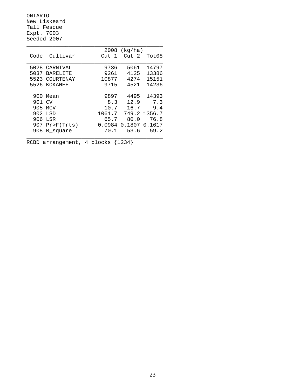ONTARIO New Liskeard Tall Fescue Expt. 7003 Seeded 2007

|      |                 | 2008                  | (kg/ha)         |              |
|------|-----------------|-----------------------|-----------------|--------------|
| Code | Cultivar        | Cut<br>$\overline{1}$ | $\text{Cut}$ 2. | Tot08        |
|      |                 |                       |                 |              |
| 5028 | CARNIVAL        | 9736                  | 5061            | 14797        |
| 5037 | <b>BARELITE</b> | 9261                  | 4125            | 13386        |
| 5523 | COURTENAY       | 10877                 | 4274            | 15151        |
|      | 5526 KOKANEE    | 9715                  | 4521            | 14236        |
|      |                 |                       |                 |              |
| 900  | Mean            | 9897                  | 4495            | 14393        |
| 901  | CV              | 8.3                   | 12.9            | 7.3          |
| 905  | MCV             | 10.7                  | 16.7            | 9.4          |
| 902  | LSD             | 1061.7                |                 | 749.2 1356.7 |
| 906  | LSR             | 65.7                  | 80.0            | 76.8         |
| 907  | $Pr$ $F(Trts)$  | 0.0984                | 0.1807          | 0.1617       |
| 908  | R square        | 70.1                  | 53.6            | 59.2         |
|      |                 |                       |                 |              |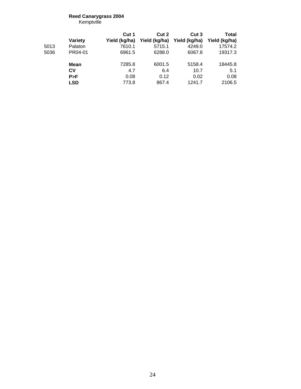#### **Reed Canarygrass 2004** Kemptville

**Cut 1 Cut 2 Cut 3 Total Variety Yield (kg/ha) Yield (kg/ha) Yield (kg/ha) Yield (kg/ha)** 5013 Palaton 7610.1 5715.1 4249.0 17574.2 5036 PR04-01 6961.5 6288.0 6067.8 19317.3 **Mean** 7285.8 6001.5 5158.4 18445.8<br>**CV** 4.7 6.4 10.7 5.1 **CV** 4.7 6.4 10.7 5.1 **P>F** 0.08 0.12 0.02 0.08 **LSD** 773.8 867.4 1241.7 2106.5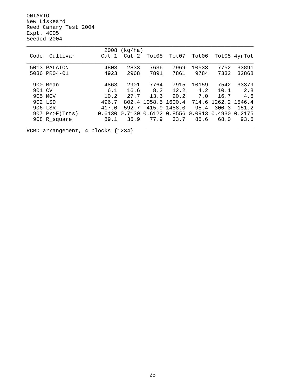ONTARIO New Liskeard Reed Canary Test 2004 Expt. 4005 Seeded 2004

|                  | 2008   | (kq/ha) |        |        |        |               |              |
|------------------|--------|---------|--------|--------|--------|---------------|--------------|
| Cultivar<br>Code | Cut 1  | Cut 2   | Tot08  | Tot07  | Tot06  |               | Tot05 4yrTot |
|                  |        |         |        |        |        |               |              |
| 5013 PALATON     | 4803   | 2833    | 7636   | 7969   | 10533  | 7752          | 33891        |
| 5036 PR04-01     | 4923   | 2968    | 7891   | 7861   | 9784   | 7332          | 32868        |
|                  |        |         |        |        |        |               |              |
| 900 Mean         | 4863   | 2901    | 7764   | 7915   | 10159  | 7542          | 33379        |
| 901 CV           | 6.1    | 16.6    | 8.2    | 12.2   | 4.2    | 10.1          | 2.8          |
| 905 MCV          | 10.2   | 27.7    | 13.6   | 20.2   | 7.0    | 16.7          | 4.6          |
| 902 LSD          | 496.7  | 802.4   | 1058.5 | 1600.4 | 714.6  | 1262.2 1546.4 |              |
| 906 LSR          | 417.0  | 592.7   | 415.9  | 1488.0 | 95.4   | 300.3         | 151.2        |
| $907$ Pr>F(Trts) | 0.6130 | 0.7130  | 0.6122 | 0.8556 | 0.0913 | 0.4930        | 0.2175       |
| 908 R_square     | 89.1   | 35.9    | 77.9   | 33.7   | 85.6   | 68.0          | 93.6         |
|                  |        |         |        |        |        |               |              |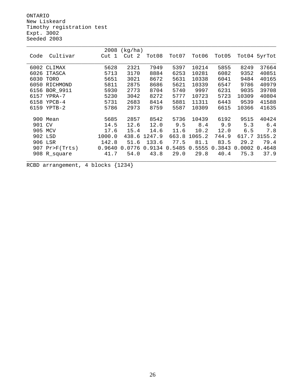ONTARIO New Liskeard Timothy registration test Expt. 3002 Seeded 2003

|      |                  | 2008                | (kg/ha)  |        |        |        |        |        |              |
|------|------------------|---------------------|----------|--------|--------|--------|--------|--------|--------------|
| Code | Cultivar         | $\mathbf{1}$<br>Cut | 2<br>Cut | Tot08  | Tot07  | Tot06  | Tot05  |        | Tot04 5yrTot |
|      |                  |                     |          |        |        |        |        |        |              |
|      | 6002 CLIMAX      | 5628                | 2321     | 7949   | 5397   | 10214  | 5855   | 8249   | 37664        |
| 6026 | <b>ITASCA</b>    | 5713                | 3170     | 8884   | 6253   | 10281  | 6082   | 9352   | 40851        |
| 6030 | TORO             | 5651                | 3021     | 8672   | 5631   | 10338  | 6041   | 9484   | 40165        |
| 6050 | RICHMOND         | 5811                | 2875     | 8686   | 5621   | 10339  | 6547   | 9786   | 40979        |
| 6156 | <b>BOR 9911</b>  | 5930                | 2773     | 8704   | 5740   | 9997   | 6231   | 9035   | 39708        |
| 6157 | YPRA-7           | 5230                | 3042     | 8272   | 5777   | 10723  | 5723   | 10309  | 40804        |
| 6158 | $YPCB-4$         | 5731                | 2683     | 8414   | 5881   | 11311  | 6443   | 9539   | 41588        |
| 6159 | $YPTB-2$         | 5786                | 2973     | 8759   | 5587   | 10309  | 6615   | 10366  | 41635        |
|      |                  |                     |          |        |        |        |        |        |              |
|      | 900 Mean         | 5685                | 2857     | 8542   | 5736   | 10439  | 6192   | 9515   | 40424        |
| 901  | <b>CV</b>        | 14.5                | 12.6     | 12.0   | 9.5    | 8.4    | 9.9    | 5.3    | 6.4          |
| 905  | MCV              | 17.6                | 15.4     | 14.6   | 11.6   | 10.2   | 12.0   | 6.5    | 7.8          |
|      | 902 LSD          | 1000.0              | 438.6    | 1247.9 | 663.8  | 1065.2 | 744.9  | 617.7  | 3155.2       |
|      | 906 LSR          | 142.8               | 51.6     | 133.6  | 77.5   | 81.1   | 83.5   | 29.2   | 79.4         |
|      | $907$ Pr>F(Trts) | 0.9640              | 0.0776   | 0.9134 | 0.5485 | 0.5555 | 0.3843 | 0.0002 | 0.4648       |
| 908  | R_square         | 41.7                | 54.0     | 43.8   | 29.0   | 29.8   | 40.4   | 75.3   | 37.9         |
|      |                  |                     |          |        |        |        |        |        |              |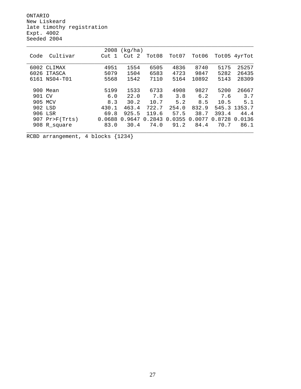ONTARIO New Liskeard late timothy registration Expt. 4002 Seeded 2004

|      |                  | 2008   | (kg/ha) |        |        |           |        |        |
|------|------------------|--------|---------|--------|--------|-----------|--------|--------|
| Code | Cultivar         | Cut 1  | Cut 2   | Tot08  | Tot07  | Tot06     | Tot05  | 4yrTot |
|      |                  |        |         |        |        |           |        |        |
|      | 6002 CLIMAX      | 4951   | 1554    | 6505   | 4836   | 8740      | 5175   | 25257  |
| 6026 | <b>ITASCA</b>    | 5079   | 1504    | 6583   | 4723   | 9847      | 5282   | 26435  |
|      | 6161 NS04-T01    | 5568   | 1542    | 7110   | 5164   | 10892     | 5143   | 28309  |
|      |                  |        |         |        |        |           |        |        |
|      | 900 Mean         | 5199   | 1533    | 6733   | 4908   | 9827      | 5200   | 26667  |
| 901  | CV               | 6.0    | 22.0    | 7.8    | 3.8    | 6.2       | 7.6    | 3.7    |
|      | 905 MCV          | 8.3    | 30.2    | 10.7   | 5.2    | 8.5       | 10.5   | 5.1    |
|      | 902 LSD          | 430.1  | 463.4   | 722.7  | 254.0  | 832.9     | 545.3  | 1353.7 |
|      | 906 LSR          | 69.8   | 925.5   | 119.6  | 57.5   | 38.7      | 393.4  | 44.4   |
|      | $907$ Pr>F(Trts) | 0.0688 | 0.9647  | 0.2843 | 0.0355 | 0077<br>0 | 0.8728 | 0.0136 |
|      | 908 R_square     | 83.0   | 30.4    | 74.0   | 91.2   | 84.4      | 70.7   | 86.1   |
|      |                  |        |         |        |        |           |        |        |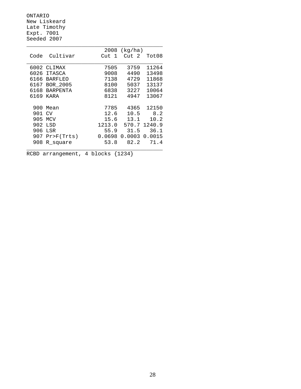ONTARIO New Liskeard Late Timothy Expt. 7001 Seeded 2007

|      |                 | 2008       | (kg/ha) |        |
|------|-----------------|------------|---------|--------|
| Code | Cultivar        | - 1<br>Cut | Cut 2   | Tot08  |
|      |                 |            |         |        |
| 6002 | CLIMAX          | 7505       | 3759    | 11264  |
| 6026 | <b>ITASCA</b>   | 9008       | 4490    | 13498  |
| 6166 | <b>BARFLEO</b>  | 7138       | 4729    | 11868  |
| 6167 | BOR 2005        | 8100       | 5037    | 13137  |
| 6168 | <b>BARPENTA</b> | 6838       | 3227    | 10064  |
| 6169 | KARA            | 8121       | 4947    | 13067  |
|      |                 |            |         |        |
| 900  | Mean            | 7785       | 4365    | 12150  |
| 901  | CV              | 12.6       | 10.5    | 8.2    |
| 905  | <b>MCV</b>      | 15.6       | 13.1    | 10.2   |
| 902  | LSD             | 1213.0     | 570.7   | 1240.9 |
| 906  | LSR             | 55.9       | 31.5    | 36.1   |
| 907  | Pr>F(Trts)      | 0.0698     | 0.0003  | 0.0015 |
| 908  | R square        | 53.8       | 82.2    | 71.4   |
|      |                 |            |         |        |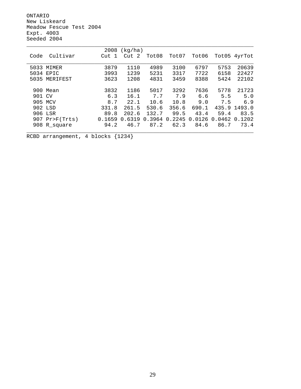ONTARIO New Liskeard Meadow Fescue Test 2004 Expt. 4003 Seeded 2004

|        |                  | 2008   | (kq/ha)           |        |        |        |           |        |
|--------|------------------|--------|-------------------|--------|--------|--------|-----------|--------|
| Code   | Cultivar         | Cut 1  | Cut 2             | Tot08  | Tot07  | Tot06  | Tot05     | 4yrTot |
|        |                  |        |                   |        |        |        |           |        |
| 5033   | MIMER            | 3879   | 1110              | 4989   | 3100   | 6797   | 5753      | 20639  |
|        | 5034 EPIC        | 3993   | 1239              | 5231   | 3317   | 7722   | 6158      | 22427  |
| 5035   | MERIFEST         | 3623   | 1208              | 4831   | 3459   | 8388   | 5424      | 22102  |
|        |                  |        |                   |        |        |        |           |        |
|        | 900 Mean         | 3832   | 1186              | 5017   | 3292   | 7636   | 5778      | 21723  |
| 901 CV |                  | 6.3    | 16.1              | 7.7    | 7.9    | 6.6    | 5.5       | 5.0    |
|        | 905 MCV          | 8.7    | 22.1              | 10.6   | 10.8   | 9.0    | 7.5       | 6.9    |
|        | 902 LSD          | 331.8  | 261.5             | 530.6  | 356.6  | 690.1  | 435.9     | 1493.0 |
|        | 906 LSR          | 89.8   | 202.6             | 132.7  | 99.5   | 43.4   | 59.4      | 83.5   |
|        | $907$ Pr>F(Trts) | 0.1659 | .6319<br>$\Omega$ | 0.3964 | 0.2245 | 0.0126 | 0462<br>0 | 0.1202 |
|        | 908 R_square     | 94.2   | 46.7              | 87.2   | 62.3   | 84.6   | 86.7      | 73.4   |
|        |                  |        |                   |        |        |        |           |        |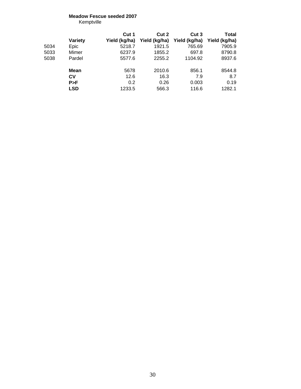## **Meadow Fescue seeded 2007**

Kemptville

|      |                | Cut 1         | Cut 2         | Cut 3         | Total         |
|------|----------------|---------------|---------------|---------------|---------------|
|      | <b>Variety</b> | Yield (kg/ha) | Yield (kg/ha) | Yield (kg/ha) | Yield (kg/ha) |
| 5034 | Epic           | 5218.7        | 1921.5        | 765.69        | 7905.9        |
| 5033 | Mimer          | 6237.9        | 1855.2        | 697.8         | 8790.8        |
| 5038 | Pardel         | 5577.6        | 2255.2        | 1104.92       | 8937.6        |
|      | <b>Mean</b>    | 5678          | 2010.6        | 856.1         | 8544.8        |
|      | Cν             | 12.6          | 16.3          | 7.9           | 8.7           |
|      | P > F          | 0.2           | 0.26          | 0.003         | 0.19          |
|      | <b>LSD</b>     | 1233.5        | 566.3         | 116.6         | 1282.1        |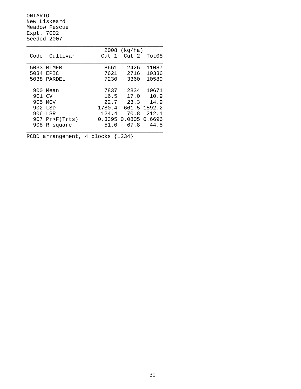ONTARIO New Liskeard Meadow Fescue Expt. 7002 Seeded 2007

|      |            | 2008                  | (kg/ha)          |        |
|------|------------|-----------------------|------------------|--------|
| Code | Cultivar   | $\overline{1}$<br>Cut | Cut <sub>2</sub> | Tot08  |
|      |            |                       |                  |        |
| 5033 | MTMER      | 8661                  | 2426             | 11087  |
| 5034 | EPIC       | 7621                  | 2716             | 10336  |
| 5038 | PARDEL     | 7230                  | 3360             | 10589  |
|      |            |                       |                  |        |
| 900  | Mean       | 7837                  | 2834             | 10671  |
| 901  | CV         | 16.5                  | 17.0             | 10.9   |
| 905  | MCV        | 22.7                  | 23.3             | 14.9   |
|      | 902 LSD    | 1780.4                | 661.5            | 1592.2 |
| 906  | LSR        | 124.4                 | 70.8             | 212.1  |
| 907  | Pr>F(Trts) | 0.3395                | 0.0805           | 0.6696 |
| 908  | R square   | 51.0                  | 67.8             | 44.5   |
|      |            |                       |                  |        |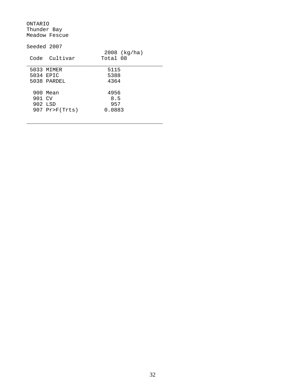ONTARIO Thunder Bay Meadow Fescue

|        | Seeded 2007      |                          |
|--------|------------------|--------------------------|
|        | Code Cultivar    | 2008 (kg/ha)<br>Total 08 |
|        | 5033 MIMER       | 5115                     |
|        | 5034 EPTC        | 5388                     |
|        | 5038 PARDEL      | 4364                     |
|        | 900 Mean         | 4956                     |
| 901 CV |                  | 8.5                      |
|        | 902 LSD          | 957                      |
|        | $907$ Pr>F(Trts) | 0.0883                   |
|        |                  |                          |

\_\_\_\_\_\_\_\_\_\_\_\_\_\_\_\_\_\_\_\_\_\_\_\_\_\_\_\_\_\_\_\_\_\_\_\_\_\_\_\_\_\_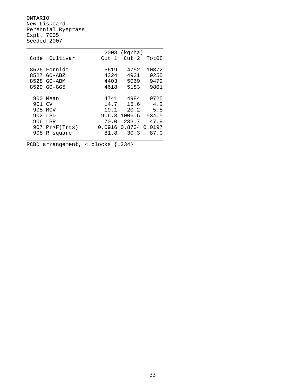ONTARIO New Liskeard Perennial Ryegrass Expt. 7005 Seeded 2007

|        |                | 2008  | (kg/ha)       |        |
|--------|----------------|-------|---------------|--------|
| Code   | Cultivar       | Cut 1 | Cut 2         | Tot08  |
|        |                |       |               |        |
|        | 8526 Fornido   | 5619  | 4752          | 10372  |
| 8527   | GO-ABZ         | 4324  | 4931          | 9255   |
| 8528   | $GO-ABM$       | 4403  | 5069          | 9472   |
| 8529   | $GO-GG5$       | 4618  | 5183          | 9801   |
|        |                |       |               |        |
| 900    | Mean           | 4741  | 4984          | 9725   |
| 901 CV |                | 14.7  | 15.6          | 4.2    |
| 905    | MCV            | 19.1  | 20.2          | 5.5    |
|        | 902 LSD        |       | 906.3 1006.6  | 534.5  |
| 906    | LSR            | 70.0  | 233.7         | 47.9   |
| 907    | $Pr$ $F(Trts)$ |       | 0.0916 0.8734 | 0.0197 |
| 908    | R square       | 81.8  | 30.3          | 87.0   |
|        |                |       |               |        |